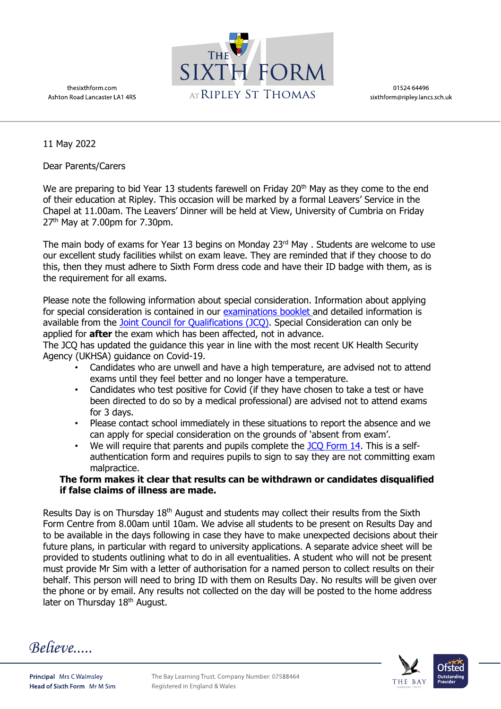



01524 64496 sixthform@ripley.lancs.sch.uk

11 May 2022

Dear Parents/Carers

We are preparing to bid Year 13 students farewell on Friday 20<sup>th</sup> May as they come to the end of their education at Ripley. This occasion will be marked by a formal Leavers' Service in the Chapel at 11.00am. The Leavers' Dinner will be held at View, University of Cumbria on Friday  $27<sup>th</sup>$  May at 7.00pm for 7.30pm.

The main body of exams for Year 13 begins on Monday 23rd May . Students are welcome to use our excellent study facilities whilst on exam leave. They are reminded that if they choose to do this, then they must adhere to Sixth Form dress code and have their ID badge with them, as is the requirement for all exams.

Please note the following information about special consideration. Information about applying for special consideration is contained in our [examinations booklet a](https://ripleystthomas.com/app/uploads/2022/04/Exam-Guidance-Student-Parent-2021-22.pdf)nd detailed information is available from the [Joint Council for Qualifications \(JCQ\).](https://www.jcq.org.uk/wp-content/uploads/2022/04/A-guide-to-the-special-consideration-process-202122-%E2%80%93-General-and-Vocational-qualifications-Updated-8-April-2022.pdf) Special Consideration can only be applied for **after** the exam which has been affected, not in advance.

The JCQ has updated the guidance this year in line with the most recent UK Health Security Agency (UKHSA) guidance on Covid-19.

- Candidates who are unwell and have a high temperature, are advised not to attend exams until they feel better and no longer have a temperature.
- Candidates who test positive for Covid (if they have chosen to take a test or have been directed to do so by a medical professional) are advised not to attend exams for 3 days.
- Please contact school immediately in these situations to report the absence and we can apply for special consideration on the grounds of 'absent from exam'.
- We will require that parents and pupils complete the [JCQ Form 14.](https://www.jcq.org.uk/wp-content/uploads/2021/09/Form-14_Self-Certification-Form.pdf) This is a selfauthentication form and requires pupils to sign to say they are not committing exam malpractice.

## **The form makes it clear that results can be withdrawn or candidates disqualified if false claims of illness are made.**

Results Day is on Thursday 18<sup>th</sup> August and students may collect their results from the Sixth Form Centre from 8.00am until 10am. We advise all students to be present on Results Day and to be available in the days following in case they have to make unexpected decisions about their future plans, in particular with regard to university applications. A separate advice sheet will be provided to students outlining what to do in all eventualities. A student who will not be present must provide Mr Sim with a letter of authorisation for a named person to collect results on their behalf. This person will need to bring ID with them on Results Day. No results will be given over the phone or by email. Any results not collected on the day will be posted to the home address later on Thursday 18<sup>th</sup> August.

Believe....